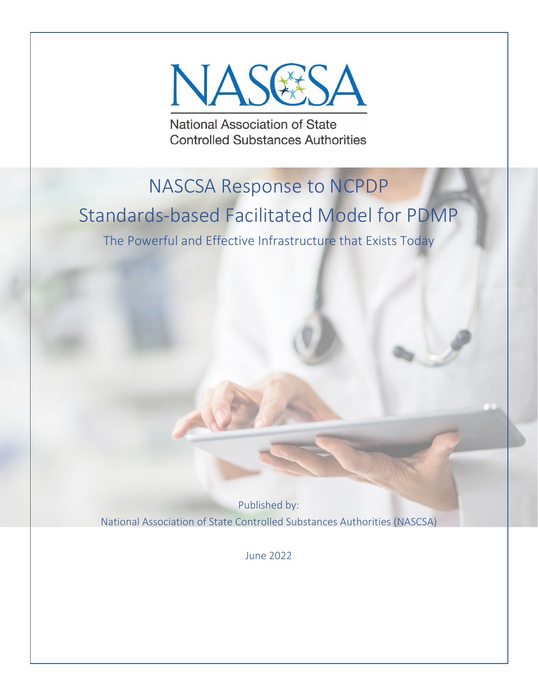

National Association of State **Controlled Substances Authorities** 

# NASCSA Response to NCPDP

## Standards-based Facilitated Model for PDMP

The Powerful and Effective Infrastructure that Exists Today

Published by: National Association of State Controlled Substances Authorities (NASCSA)

June 2022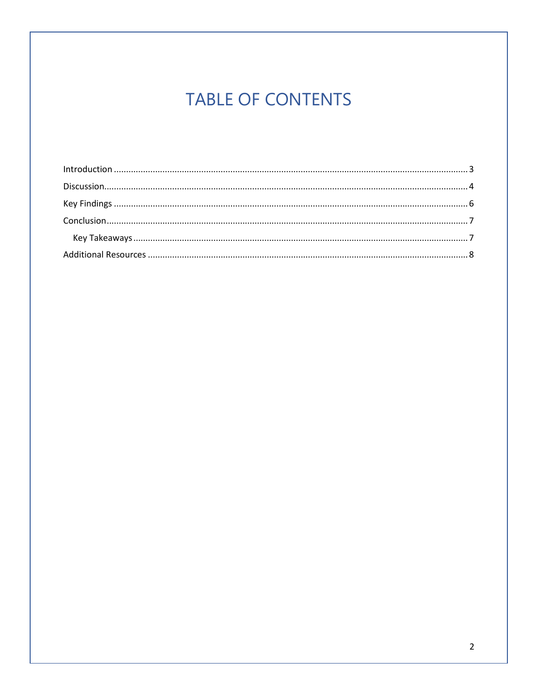## **TABLE OF CONTENTS**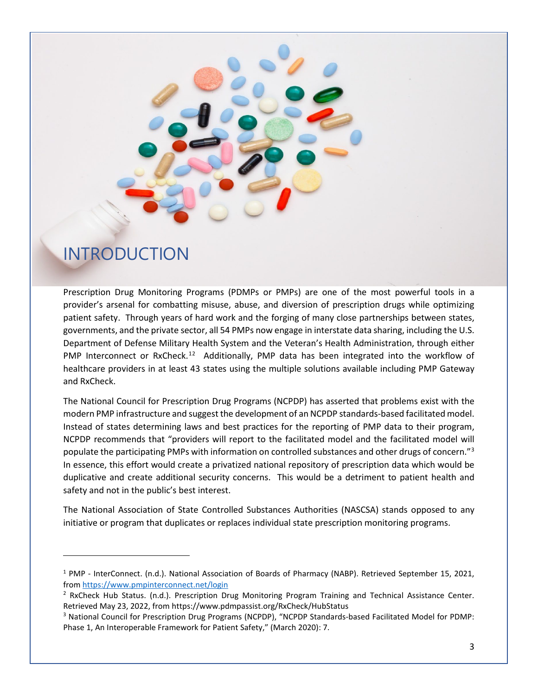

#### <span id="page-2-0"></span>INTRODUCTION

Prescription Drug Monitoring Programs (PDMPs or PMPs) are one of the most powerful tools in a provider's arsenal for combatting misuse, abuse, and diversion of prescription drugs while optimizing patient safety. Through years of hard work and the forging of many close partnerships between states, governments, and the private sector, all 54 PMPs now engage in interstate data sharing, including the U.S. Department of Defense Military Health System and the Veteran's Health Administration, through either PMP Interconnect or RxCheck.<sup>[1](#page-2-1)[2](#page-2-2)</sup> Additionally, PMP data has been integrated into the workflow of healthcare providers in at least 43 states using the multiple solutions available including PMP Gateway and RxCheck.

The National Council for Prescription Drug Programs (NCPDP) has asserted that problems exist with the modern PMP infrastructure and suggest the development of an NCPDP standards-based facilitated model. Instead of states determining laws and best practices for the reporting of PMP data to their program, NCPDP recommends that "providers will report to the facilitated model and the facilitated model will populate the participating PMPs with information on controlled substances and other drugs of concern."<sup>[3](#page-2-3)</sup> In essence, this effort would create a privatized national repository of prescription data which would be duplicative and create additional security concerns. This would be a detriment to patient health and safety and not in the public's best interest.

The National Association of State Controlled Substances Authorities (NASCSA) stands opposed to any initiative or program that duplicates or replaces individual state prescription monitoring programs.

<span id="page-2-1"></span><sup>1</sup> PMP - InterConnect. (n.d.). National Association of Boards of Pharmacy (NABP). Retrieved September 15, 2021, from https://www.pmpinterconnect.net/login<br><sup>2</sup> RxCheck Hub Status. (n.d.). Prescription Drug Monitoring Program Training and Technical Assistance Center.

<span id="page-2-2"></span>Retrieved May 23, 2022, from https://www.pdmpassist.org/RxCheck/HubStatus

<span id="page-2-3"></span><sup>3</sup> National Council for Prescription Drug Programs (NCPDP), "NCPDP Standards-based Facilitated Model for PDMP: Phase 1, An Interoperable Framework for Patient Safety," (March 2020): 7.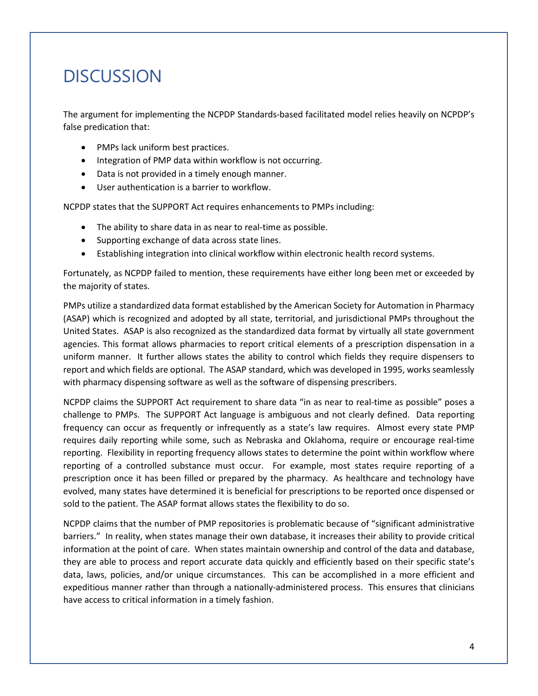### **DISCUSSION**

<span id="page-3-0"></span>The argument for implementing the NCPDP Standards-based facilitated model relies heavily on NCPDP's false predication that:

- PMPs lack uniform best practices.
- Integration of PMP data within workflow is not occurring.
- Data is not provided in a timely enough manner.
- User authentication is a barrier to workflow.

NCPDP states that the SUPPORT Act requires enhancements to PMPs including:

- The ability to share data in as near to real-time as possible.
- Supporting exchange of data across state lines.
- Establishing integration into clinical workflow within electronic health record systems.

Fortunately, as NCPDP failed to mention, these requirements have either long been met or exceeded by the majority of states.

PMPs utilize a standardized data format established by the American Society for Automation in Pharmacy (ASAP) which is recognized and adopted by all state, territorial, and jurisdictional PMPs throughout the United States. ASAP is also recognized as the standardized data format by virtually all state government agencies. This format allows pharmacies to report critical elements of a prescription dispensation in a uniform manner. It further allows states the ability to control which fields they require dispensers to report and which fields are optional. The ASAP standard, which was developed in 1995, works seamlessly with pharmacy dispensing software as well as the software of dispensing prescribers.

NCPDP claims the SUPPORT Act requirement to share data "in as near to real-time as possible" poses a challenge to PMPs. The SUPPORT Act language is ambiguous and not clearly defined. Data reporting frequency can occur as frequently or infrequently as a state's law requires. Almost every state PMP requires daily reporting while some, such as Nebraska and Oklahoma, require or encourage real-time reporting. Flexibility in reporting frequency allows states to determine the point within workflow where reporting of a controlled substance must occur. For example, most states require reporting of a prescription once it has been filled or prepared by the pharmacy. As healthcare and technology have evolved, many states have determined it is beneficial for prescriptions to be reported once dispensed or sold to the patient. The ASAP format allows states the flexibility to do so.

NCPDP claims that the number of PMP repositories is problematic because of "significant administrative barriers." In reality, when states manage their own database, it increases their ability to provide critical information at the point of care. When states maintain ownership and control of the data and database, they are able to process and report accurate data quickly and efficiently based on their specific state's data, laws, policies, and/or unique circumstances. This can be accomplished in a more efficient and expeditious manner rather than through a nationally-administered process. This ensures that clinicians have access to critical information in a timely fashion.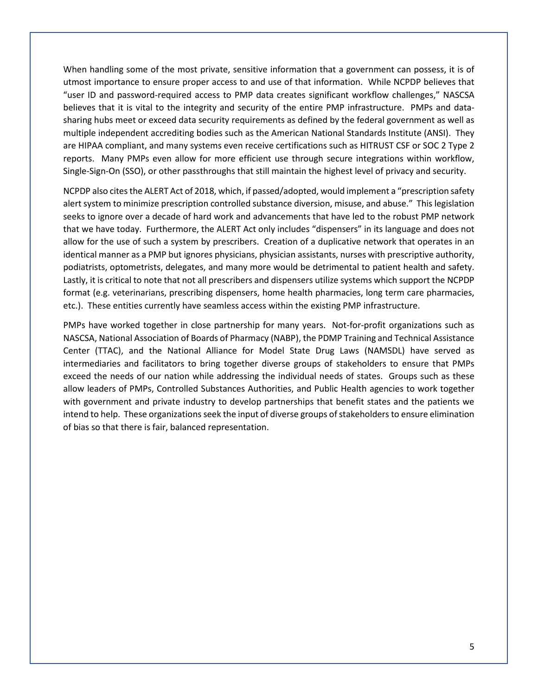When handling some of the most private, sensitive information that a government can possess, it is of utmost importance to ensure proper access to and use of that information. While NCPDP believes that "user ID and password-required access to PMP data creates significant workflow challenges," NASCSA believes that it is vital to the integrity and security of the entire PMP infrastructure. PMPs and datasharing hubs meet or exceed data security requirements as defined by the federal government as well as multiple independent accrediting bodies such as the American National Standards Institute (ANSI). They are HIPAA compliant, and many systems even receive certifications such as HITRUST CSF or SOC 2 Type 2 reports. Many PMPs even allow for more efficient use through secure integrations within workflow, Single-Sign-On (SSO), or other passthroughs that still maintain the highest level of privacy and security.

NCPDP also cites the ALERT Act of 2018, which, if passed/adopted, would implement a "prescription safety alert system to minimize prescription controlled substance diversion, misuse, and abuse." This legislation seeks to ignore over a decade of hard work and advancements that have led to the robust PMP network that we have today. Furthermore, the ALERT Act only includes "dispensers" in its language and does not allow for the use of such a system by prescribers. Creation of a duplicative network that operates in an identical manner as a PMP but ignores physicians, physician assistants, nurses with prescriptive authority, podiatrists, optometrists, delegates, and many more would be detrimental to patient health and safety. Lastly, it is critical to note that not all prescribers and dispensers utilize systems which support the NCPDP format (e.g. veterinarians, prescribing dispensers, home health pharmacies, long term care pharmacies, etc.). These entities currently have seamless access within the existing PMP infrastructure.

PMPs have worked together in close partnership for many years. Not-for-profit organizations such as NASCSA, National Association of Boards of Pharmacy (NABP), the PDMP Training and Technical Assistance Center (TTAC), and the National Alliance for Model State Drug Laws (NAMSDL) have served as intermediaries and facilitators to bring together diverse groups of stakeholders to ensure that PMPs exceed the needs of our nation while addressing the individual needs of states. Groups such as these allow leaders of PMPs, Controlled Substances Authorities, and Public Health agencies to work together with government and private industry to develop partnerships that benefit states and the patients we intend to help. These organizations seek the input of diverse groups of stakeholders to ensure elimination of bias so that there is fair, balanced representation.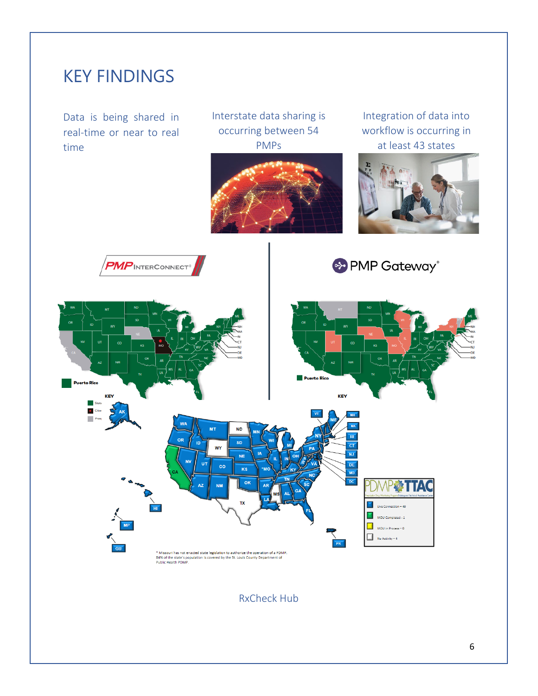<span id="page-5-0"></span>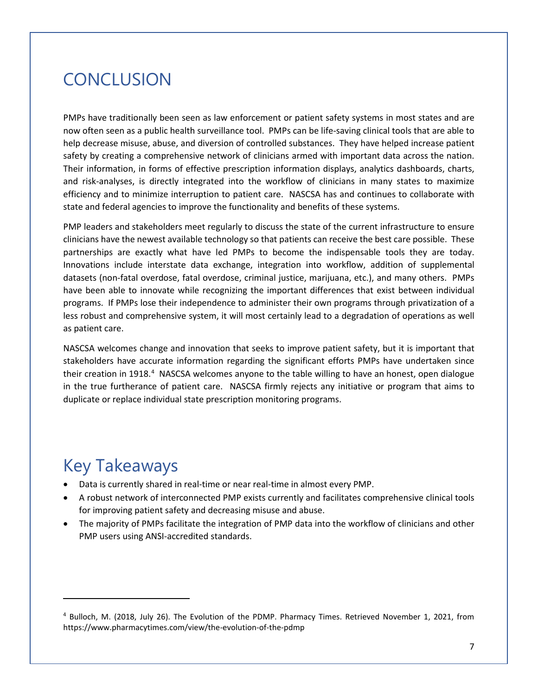#### <span id="page-6-0"></span>**CONCLUSION**

PMPs have traditionally been seen as law enforcement or patient safety systems in most states and are now often seen as a public health surveillance tool. PMPs can be life-saving clinical tools that are able to help decrease misuse, abuse, and diversion of controlled substances. They have helped increase patient safety by creating a comprehensive network of clinicians armed with important data across the nation. Their information, in forms of effective prescription information displays, analytics dashboards, charts, and risk-analyses, is directly integrated into the workflow of clinicians in many states to maximize efficiency and to minimize interruption to patient care. NASCSA has and continues to collaborate with state and federal agencies to improve the functionality and benefits of these systems.

PMP leaders and stakeholders meet regularly to discuss the state of the current infrastructure to ensure clinicians have the newest available technology so that patients can receive the best care possible. These partnerships are exactly what have led PMPs to become the indispensable tools they are today. Innovations include interstate data exchange, integration into workflow, addition of supplemental datasets (non-fatal overdose, fatal overdose, criminal justice, marijuana, etc.), and many others. PMPs have been able to innovate while recognizing the important differences that exist between individual programs. If PMPs lose their independence to administer their own programs through privatization of a less robust and comprehensive system, it will most certainly lead to a degradation of operations as well as patient care.

NASCSA welcomes change and innovation that seeks to improve patient safety, but it is important that stakeholders have accurate information regarding the significant efforts PMPs have undertaken since their creation in 1918.<sup>[4](#page-6-2)</sup> NASCSA welcomes anyone to the table willing to have an honest, open dialogue in the true furtherance of patient care. NASCSA firmly rejects any initiative or program that aims to duplicate or replace individual state prescription monitoring programs.

#### <span id="page-6-1"></span>Key Takeaways

- Data is currently shared in real-time or near real-time in almost every PMP.
- A robust network of interconnected PMP exists currently and facilitates comprehensive clinical tools for improving patient safety and decreasing misuse and abuse.
- The majority of PMPs facilitate the integration of PMP data into the workflow of clinicians and other PMP users using ANSI-accredited standards.

<span id="page-6-2"></span><sup>4</sup> Bulloch, M. (2018, July 26). The Evolution of the PDMP. Pharmacy Times. Retrieved November 1, 2021, from https://www.pharmacytimes.com/view/the-evolution-of-the-pdmp